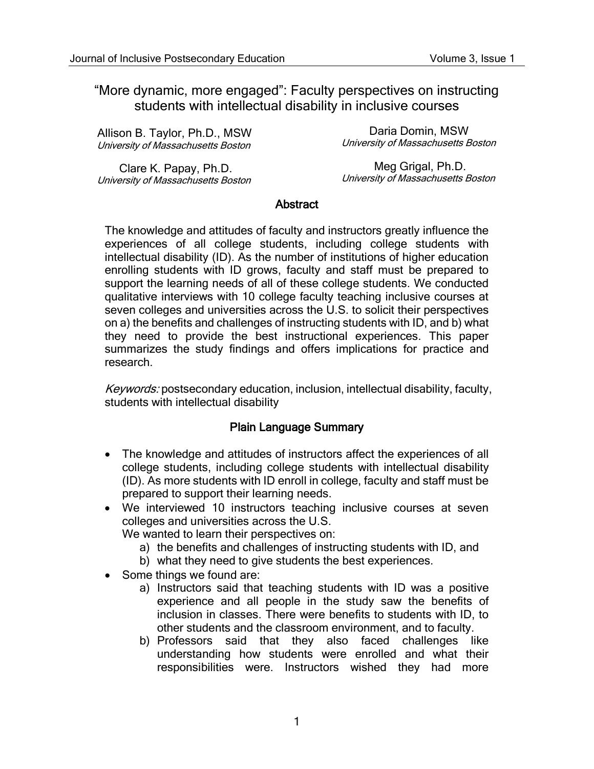## "More dynamic, more engaged": Faculty perspectives on instructing students with intellectual disability in inclusive courses

| Allison B. Taylor, Ph.D., MSW      | Daria Domin, MSW                   |
|------------------------------------|------------------------------------|
| University of Massachusetts Boston | University of Massachusetts Boston |
| Clare K. Papay, Ph.D.              | Meg Grigal, Ph.D.                  |

Clare K. Papay, Ph.D. University of Massachusetts Boston

Meg Grigal, Ph.D. University of Massachusetts Boston

#### **Abstract**

The knowledge and attitudes of faculty and instructors greatly influence the experiences of all college students, including college students with intellectual disability (ID). As the number of institutions of higher education enrolling students with ID grows, faculty and staff must be prepared to support the learning needs of all of these college students. We conducted qualitative interviews with 10 college faculty teaching inclusive courses at seven colleges and universities across the U.S. to solicit their perspectives on a) the benefits and challenges of instructing students with ID, and b) what they need to provide the best instructional experiences. This paper summarizes the study findings and offers implications for practice and research.

Keywords: postsecondary education, inclusion, intellectual disability, faculty, students with intellectual disability

## Plain Language Summary

- The knowledge and attitudes of instructors affect the experiences of all college students, including college students with intellectual disability (ID). As more students with ID enroll in college, faculty and staff must be prepared to support their learning needs.
- We interviewed 10 instructors teaching inclusive courses at seven colleges and universities across the U.S.

We wanted to learn their perspectives on:

- a) the benefits and challenges of instructing students with ID, and
- b) what they need to give students the best experiences.
- Some things we found are:
	- a) Instructors said that teaching students with ID was a positive experience and all people in the study saw the benefits of inclusion in classes. There were benefits to students with ID, to other students and the classroom environment, and to faculty.
	- b) Professors said that they also faced challenges like understanding how students were enrolled and what their responsibilities were. Instructors wished they had more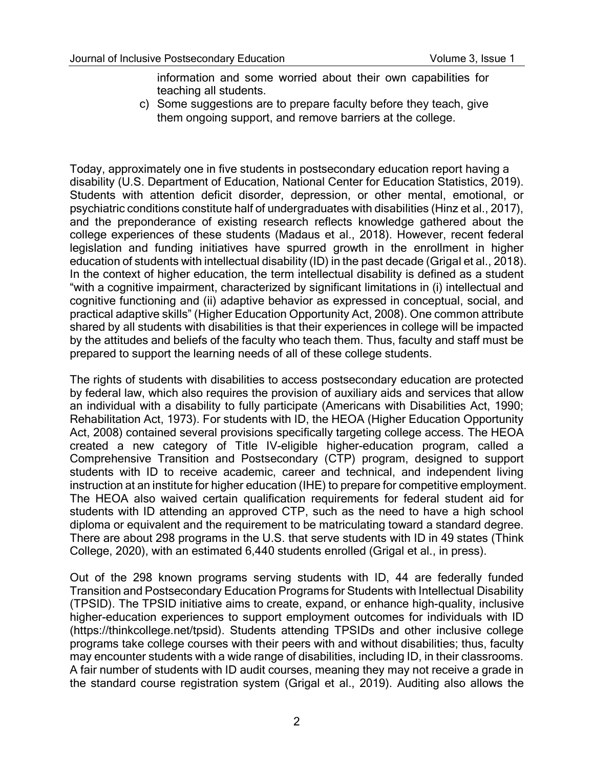information and some worried about their own capabilities for teaching all students.

c) Some suggestions are to prepare faculty before they teach, give them ongoing support, and remove barriers at the college.

Today, approximately one in five students in postsecondary education report having a disability (U.S. Department of Education, National Center for Education Statistics, 2019). Students with attention deficit disorder, depression, or other mental, emotional, or psychiatric conditions constitute half of undergraduates with disabilities (Hinz et al., 2017), and the preponderance of existing research reflects knowledge gathered about the college experiences of these students (Madaus et al., 2018). However, recent federal legislation and funding initiatives have spurred growth in the enrollment in higher education of students with intellectual disability (ID) in the past decade (Grigal et al., 2018). In the context of higher education, the term intellectual disability is defined as a student "with a cognitive impairment, characterized by significant limitations in (i) intellectual and cognitive functioning and (ii) adaptive behavior as expressed in conceptual, social, and practical adaptive skills" (Higher Education Opportunity Act, 2008). One common attribute shared by all students with disabilities is that their experiences in college will be impacted by the attitudes and beliefs of the faculty who teach them. Thus, faculty and staff must be prepared to support the learning needs of all of these college students.

The rights of students with disabilities to access postsecondary education are protected by federal law, which also requires the provision of auxiliary aids and services that allow an individual with a disability to fully participate (Americans with Disabilities Act, 1990; Rehabilitation Act, 1973). For students with ID, the HEOA (Higher Education Opportunity Act, 2008) contained several provisions specifically targeting college access. The HEOA created a new category of Title IV-eligible higher-education program, called a Comprehensive Transition and Postsecondary (CTP) program, designed to support students with ID to receive academic, career and technical, and independent living instruction at an institute for higher education (IHE) to prepare for competitive employment. The HEOA also waived certain qualification requirements for federal student aid for students with ID attending an approved CTP, such as the need to have a high school diploma or equivalent and the requirement to be matriculating toward a standard degree. There are about 298 programs in the U.S. that serve students with ID in 49 states (Think College, 2020), with an estimated 6,440 students enrolled (Grigal et al., in press).

Out of the 298 known programs serving students with ID, 44 are federally funded Transition and Postsecondary Education Programs for Students with Intellectual Disability (TPSID). The TPSID initiative aims to create, expand, or enhance high-quality, inclusive higher-education experiences to support employment outcomes for individuals with ID (https://thinkcollege.net/tpsid). Students attending TPSIDs and other inclusive college programs take college courses with their peers with and without disabilities; thus, faculty may encounter students with a wide range of disabilities, including ID, in their classrooms. A fair number of students with ID audit courses, meaning they may not receive a grade in the standard course registration system (Grigal et al., 2019). Auditing also allows the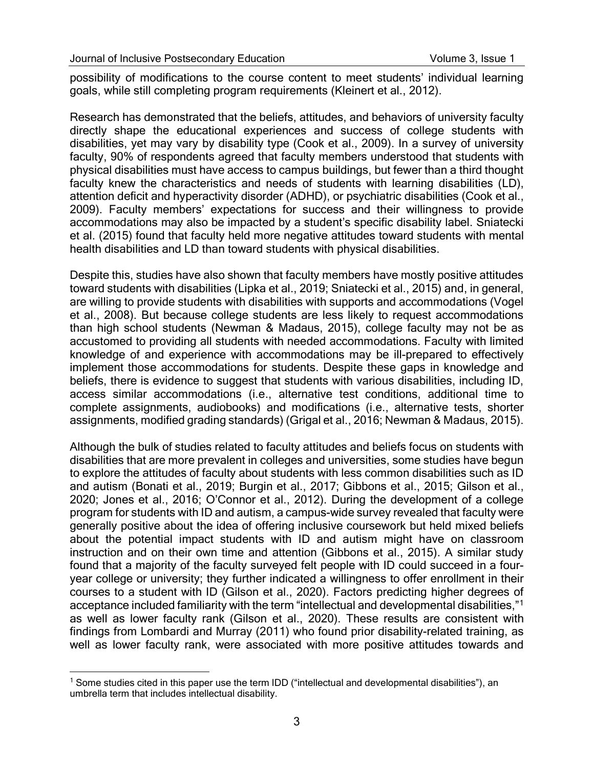possibility of modifications to the course content to meet students' individual learning goals, while still completing program requirements (Kleinert et al., 2012).

Research has demonstrated that the beliefs, attitudes, and behaviors of university faculty directly shape the educational experiences and success of college students with disabilities, yet may vary by disability type (Cook et al., 2009). In a survey of university faculty, 90% of respondents agreed that faculty members understood that students with physical disabilities must have access to campus buildings, but fewer than a third thought faculty knew the characteristics and needs of students with learning disabilities (LD), attention deficit and hyperactivity disorder (ADHD), or psychiatric disabilities (Cook et al., 2009). Faculty members' expectations for success and their willingness to provide accommodations may also be impacted by a student's specific disability label. Sniatecki et al. (2015) found that faculty held more negative attitudes toward students with mental health disabilities and LD than toward students with physical disabilities.

Despite this, studies have also shown that faculty members have mostly positive attitudes toward students with disabilities (Lipka et al., 2019; Sniatecki et al., 2015) and, in general, are willing to provide students with disabilities with supports and accommodations (Vogel et al., 2008). But because college students are less likely to request accommodations than high school students (Newman & Madaus, 2015), college faculty may not be as accustomed to providing all students with needed accommodations. Faculty with limited knowledge of and experience with accommodations may be ill-prepared to effectively implement those accommodations for students. Despite these gaps in knowledge and beliefs, there is evidence to suggest that students with various disabilities, including ID, access similar accommodations (i.e., alternative test conditions, additional time to complete assignments, audiobooks) and modifications (i.e., alternative tests, shorter assignments, modified grading standards) (Grigal et al., 2016; Newman & Madaus, 2015).

Although the bulk of studies related to faculty attitudes and beliefs focus on students with disabilities that are more prevalent in colleges and universities, some studies have begun to explore the attitudes of faculty about students with less common disabilities such as ID and autism (Bonati et al., 2019; Burgin et al., 2017; Gibbons et al., 2015; Gilson et al., 2020; Jones et al., 2016; O'Connor et al., 2012). During the development of a college program for students with ID and autism, a campus-wide survey revealed that faculty were generally positive about the idea of offering inclusive coursework but held mixed beliefs about the potential impact students with ID and autism might have on classroom instruction and on their own time and attention (Gibbons et al., 2015). A similar study found that a majority of the faculty surveyed felt people with ID could succeed in a fouryear college or university; they further indicated a willingness to offer enrollment in their courses to a student with ID (Gilson et al., 2020). Factors predicting higher degrees of acceptance included familiarity with the term "intellectual and developmental disabilities,"[1](#page-2-0) as well as lower faculty rank (Gilson et al., 2020). These results are consistent with findings from Lombardi and Murray (2011) who found prior disability-related training, as well as lower faculty rank, were associated with more positive attitudes towards and

<span id="page-2-0"></span><sup>&</sup>lt;sup>1</sup> Some studies cited in this paper use the term IDD ("intellectual and developmental disabilities"), an umbrella term that includes intellectual disability.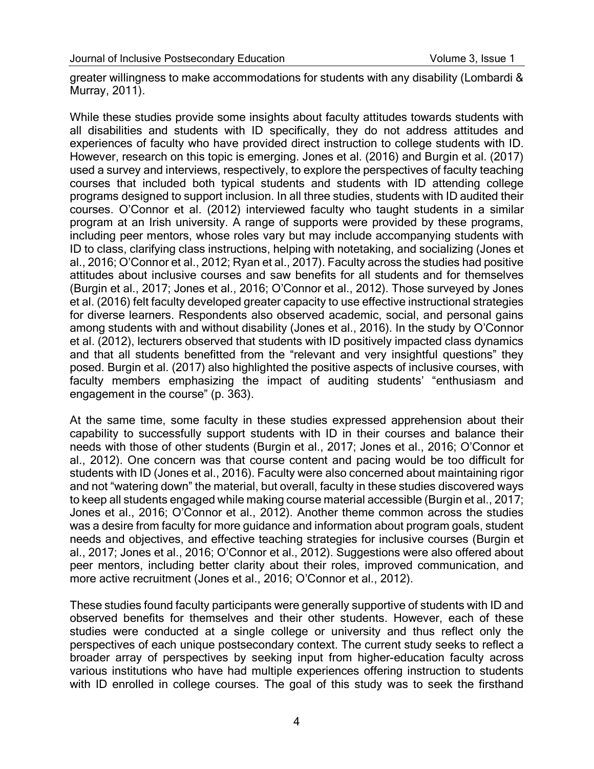greater willingness to make accommodations for students with any disability (Lombardi & Murray, 2011).

While these studies provide some insights about faculty attitudes towards students with all disabilities and students with ID specifically, they do not address attitudes and experiences of faculty who have provided direct instruction to college students with ID. However, research on this topic is emerging. Jones et al. (2016) and Burgin et al. (2017) used a survey and interviews, respectively, to explore the perspectives of faculty teaching courses that included both typical students and students with ID attending college programs designed to support inclusion. In all three studies, students with ID audited their courses. O'Connor et al. (2012) interviewed faculty who taught students in a similar program at an Irish university. A range of supports were provided by these programs, including peer mentors, whose roles vary but may include accompanying students with ID to class, clarifying class instructions, helping with notetaking, and socializing (Jones et al., 2016; O'Connor et al., 2012; Ryan et al., 2017). Faculty across the studies had positive attitudes about inclusive courses and saw benefits for all students and for themselves (Burgin et al., 2017; Jones et al., 2016; O'Connor et al., 2012). Those surveyed by Jones et al. (2016) felt faculty developed greater capacity to use effective instructional strategies for diverse learners. Respondents also observed academic, social, and personal gains among students with and without disability (Jones et al., 2016). In the study by O'Connor et al. (2012), lecturers observed that students with ID positively impacted class dynamics and that all students benefitted from the "relevant and very insightful questions" they posed. Burgin et al. (2017) also highlighted the positive aspects of inclusive courses, with faculty members emphasizing the impact of auditing students' "enthusiasm and engagement in the course" (p. 363).

At the same time, some faculty in these studies expressed apprehension about their capability to successfully support students with ID in their courses and balance their needs with those of other students (Burgin et al., 2017; Jones et al., 2016; O'Connor et al., 2012). One concern was that course content and pacing would be too difficult for students with ID (Jones et al., 2016). Faculty were also concerned about maintaining rigor and not "watering down" the material, but overall, faculty in these studies discovered ways to keep all students engaged while making course material accessible (Burgin et al., 2017; Jones et al., 2016; O'Connor et al., 2012). Another theme common across the studies was a desire from faculty for more guidance and information about program goals, student needs and objectives, and effective teaching strategies for inclusive courses (Burgin et al., 2017; Jones et al., 2016; O'Connor et al., 2012). Suggestions were also offered about peer mentors, including better clarity about their roles, improved communication, and more active recruitment (Jones et al., 2016; O'Connor et al., 2012).

These studies found faculty participants were generally supportive of students with ID and observed benefits for themselves and their other students. However, each of these studies were conducted at a single college or university and thus reflect only the perspectives of each unique postsecondary context. The current study seeks to reflect a broader array of perspectives by seeking input from higher-education faculty across various institutions who have had multiple experiences offering instruction to students with ID enrolled in college courses. The goal of this study was to seek the firsthand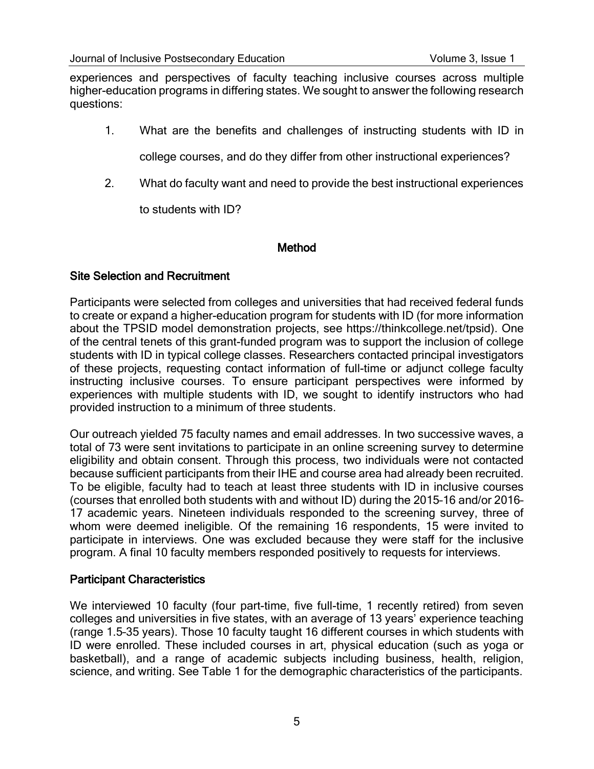experiences and perspectives of faculty teaching inclusive courses across multiple higher-education programs in differing states. We sought to answer the following research questions:

1. What are the benefits and challenges of instructing students with ID in

college courses, and do they differ from other instructional experiences?

2. What do faculty want and need to provide the best instructional experiences

to students with ID?

#### Method

#### Site Selection and Recruitment

Participants were selected from colleges and universities that had received federal funds to create or expand a higher-education program for students with ID (for more information about the TPSID model demonstration projects, see https://thinkcollege.net/tpsid). One of the central tenets of this grant-funded program was to support the inclusion of college students with ID in typical college classes. Researchers contacted principal investigators of these projects, requesting contact information of full-time or adjunct college faculty instructing inclusive courses. To ensure participant perspectives were informed by experiences with multiple students with ID, we sought to identify instructors who had provided instruction to a minimum of three students.

Our outreach yielded 75 faculty names and email addresses. In two successive waves, a total of 73 were sent invitations to participate in an online screening survey to determine eligibility and obtain consent. Through this process, two individuals were not contacted because sufficient participants from their IHE and course area had already been recruited. To be eligible, faculty had to teach at least three students with ID in inclusive courses (courses that enrolled both students with and without ID) during the 2015–16 and/or 2016– 17 academic years. Nineteen individuals responded to the screening survey, three of whom were deemed ineligible. Of the remaining 16 respondents, 15 were invited to participate in interviews. One was excluded because they were staff for the inclusive program. A final 10 faculty members responded positively to requests for interviews.

#### Participant Characteristics

We interviewed 10 faculty (four part-time, five full-time, 1 recently retired) from seven colleges and universities in five states, with an average of 13 years' experience teaching (range 1.5–35 years). Those 10 faculty taught 16 different courses in which students with ID were enrolled. These included courses in art, physical education (such as yoga or basketball), and a range of academic subjects including business, health, religion, science, and writing. See Table 1 for the demographic characteristics of the participants.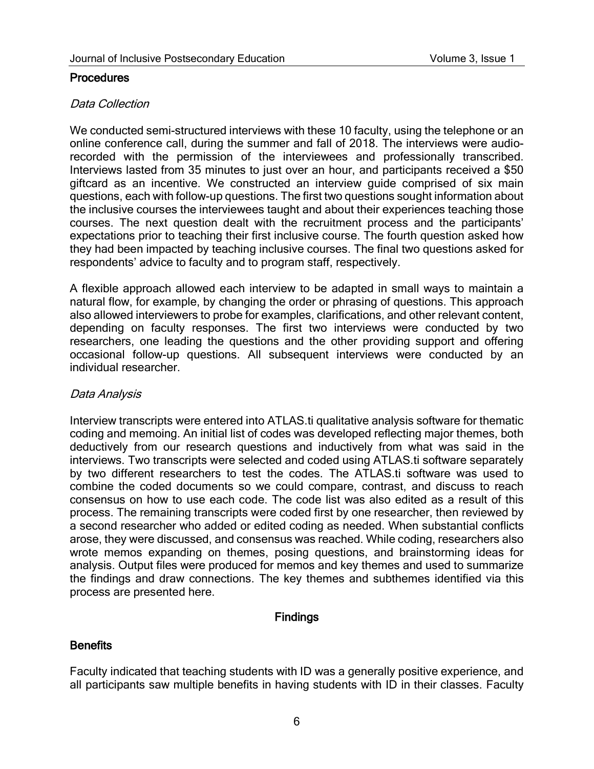#### **Procedures**

#### Data Collection

We conducted semi-structured interviews with these 10 faculty, using the telephone or an online conference call, during the summer and fall of 2018. The interviews were audiorecorded with the permission of the interviewees and professionally transcribed. Interviews lasted from 35 minutes to just over an hour, and participants received a \$50 giftcard as an incentive. We constructed an interview guide comprised of six main questions, each with follow-up questions. The first two questions sought information about the inclusive courses the interviewees taught and about their experiences teaching those courses. The next question dealt with the recruitment process and the participants' expectations prior to teaching their first inclusive course. The fourth question asked how they had been impacted by teaching inclusive courses. The final two questions asked for respondents' advice to faculty and to program staff, respectively.

A flexible approach allowed each interview to be adapted in small ways to maintain a natural flow, for example, by changing the order or phrasing of questions. This approach also allowed interviewers to probe for examples, clarifications, and other relevant content, depending on faculty responses. The first two interviews were conducted by two researchers, one leading the questions and the other providing support and offering occasional follow-up questions. All subsequent interviews were conducted by an individual researcher.

## Data Analysis

Interview transcripts were entered into ATLAS.ti qualitative analysis software for thematic coding and memoing. An initial list of codes was developed reflecting major themes, both deductively from our research questions and inductively from what was said in the interviews. Two transcripts were selected and coded using ATLAS.ti software separately by two different researchers to test the codes. The ATLAS.ti software was used to combine the coded documents so we could compare, contrast, and discuss to reach consensus on how to use each code. The code list was also edited as a result of this process. The remaining transcripts were coded first by one researcher, then reviewed by a second researcher who added or edited coding as needed. When substantial conflicts arose, they were discussed, and consensus was reached. While coding, researchers also wrote memos expanding on themes, posing questions, and brainstorming ideas for analysis. Output files were produced for memos and key themes and used to summarize the findings and draw connections. The key themes and subthemes identified via this process are presented here.

## Findings

## **Benefits**

Faculty indicated that teaching students with ID was a generally positive experience, and all participants saw multiple benefits in having students with ID in their classes. Faculty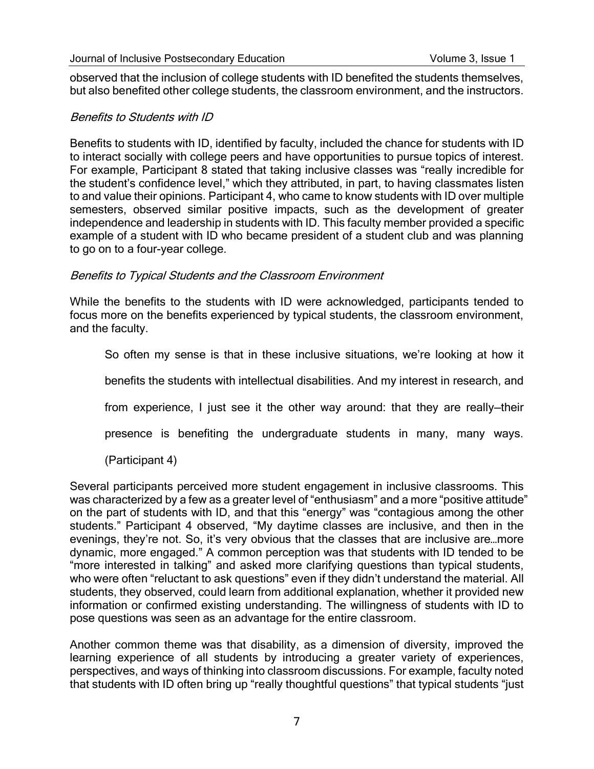observed that the inclusion of college students with ID benefited the students themselves, but also benefited other college students, the classroom environment, and the instructors.

#### Benefits to Students with ID

Benefits to students with ID, identified by faculty, included the chance for students with ID to interact socially with college peers and have opportunities to pursue topics of interest. For example, Participant 8 stated that taking inclusive classes was "really incredible for the student's confidence level," which they attributed, in part, to having classmates listen to and value their opinions. Participant 4, who came to know students with ID over multiple semesters, observed similar positive impacts, such as the development of greater independence and leadership in students with ID. This faculty member provided a specific example of a student with ID who became president of a student club and was planning to go on to a four-year college.

#### Benefits to Typical Students and the Classroom Environment

While the benefits to the students with ID were acknowledged, participants tended to focus more on the benefits experienced by typical students, the classroom environment, and the faculty.

So often my sense is that in these inclusive situations, we're looking at how it

benefits the students with intellectual disabilities. And my interest in research, and

from experience, I just see it the other way around: that they are really—their

presence is benefiting the undergraduate students in many, many ways.

(Participant 4)

Several participants perceived more student engagement in inclusive classrooms. This was characterized by a few as a greater level of "enthusiasm" and a more "positive attitude" on the part of students with ID, and that this "energy" was "contagious among the other students." Participant 4 observed, "My daytime classes are inclusive, and then in the evenings, they're not. So, it's very obvious that the classes that are inclusive are…more dynamic, more engaged." A common perception was that students with ID tended to be "more interested in talking" and asked more clarifying questions than typical students, who were often "reluctant to ask questions" even if they didn't understand the material. All students, they observed, could learn from additional explanation, whether it provided new information or confirmed existing understanding. The willingness of students with ID to pose questions was seen as an advantage for the entire classroom.

Another common theme was that disability, as a dimension of diversity, improved the learning experience of all students by introducing a greater variety of experiences, perspectives, and ways of thinking into classroom discussions. For example, faculty noted that students with ID often bring up "really thoughtful questions" that typical students "just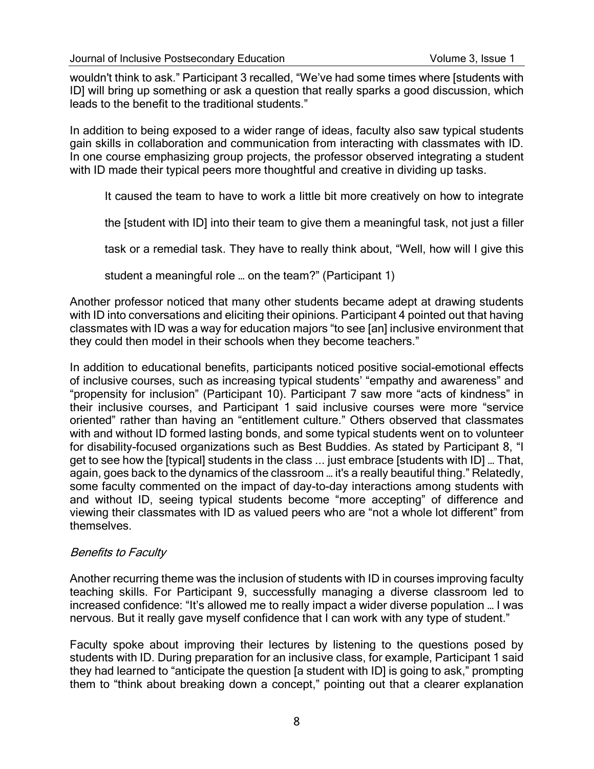wouldn't think to ask." Participant 3 recalled, "We've had some times where [students with ID] will bring up something or ask a question that really sparks a good discussion, which leads to the benefit to the traditional students."

In addition to being exposed to a wider range of ideas, faculty also saw typical students gain skills in collaboration and communication from interacting with classmates with ID. In one course emphasizing group projects, the professor observed integrating a student with ID made their typical peers more thoughtful and creative in dividing up tasks.

It caused the team to have to work a little bit more creatively on how to integrate

the [student with ID] into their team to give them a meaningful task, not just a filler

task or a remedial task. They have to really think about, "Well, how will I give this

student a meaningful role … on the team?" (Participant 1)

Another professor noticed that many other students became adept at drawing students with ID into conversations and eliciting their opinions. Participant 4 pointed out that having classmates with ID was a way for education majors "to see [an] inclusive environment that they could then model in their schools when they become teachers."

In addition to educational benefits, participants noticed positive social-emotional effects of inclusive courses, such as increasing typical students' "empathy and awareness" and "propensity for inclusion" (Participant 10). Participant 7 saw more "acts of kindness" in their inclusive courses, and Participant 1 said inclusive courses were more "service oriented" rather than having an "entitlement culture." Others observed that classmates with and without ID formed lasting bonds, and some typical students went on to volunteer for disability-focused organizations such as Best Buddies. As stated by Participant 8, "I get to see how the [typical] students in the class ... just embrace [students with ID] … That, again, goes back to the dynamics of the classroom … it's a really beautiful thing." Relatedly, some faculty commented on the impact of day-to-day interactions among students with and without ID, seeing typical students become "more accepting" of difference and viewing their classmates with ID as valued peers who are "not a whole lot different" from themselves.

#### Benefits to Faculty

Another recurring theme was the inclusion of students with ID in courses improving faculty teaching skills. For Participant 9, successfully managing a diverse classroom led to increased confidence: "It's allowed me to really impact a wider diverse population … I was nervous. But it really gave myself confidence that I can work with any type of student."

Faculty spoke about improving their lectures by listening to the questions posed by students with ID. During preparation for an inclusive class, for example, Participant 1 said they had learned to "anticipate the question [a student with ID] is going to ask," prompting them to "think about breaking down a concept," pointing out that a clearer explanation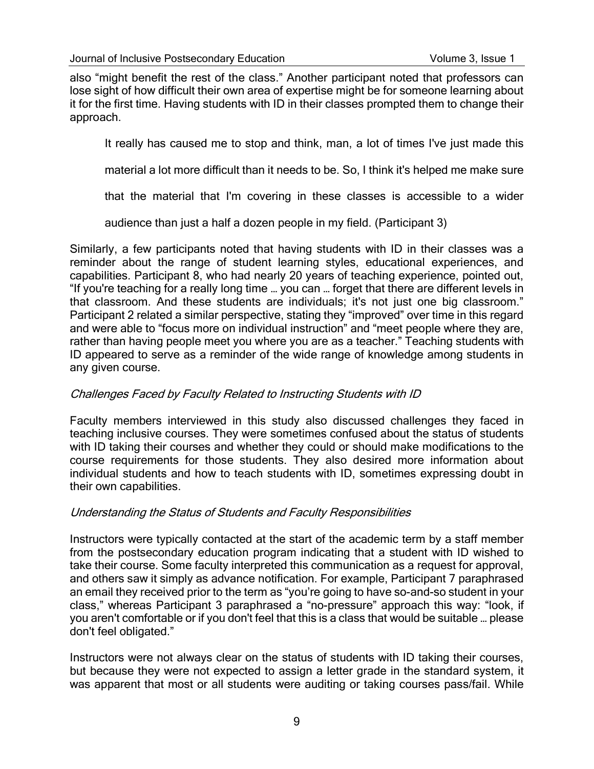also "might benefit the rest of the class." Another participant noted that professors can lose sight of how difficult their own area of expertise might be for someone learning about it for the first time. Having students with ID in their classes prompted them to change their approach.

It really has caused me to stop and think, man, a lot of times I've just made this

material a lot more difficult than it needs to be. So, I think it's helped me make sure

that the material that I'm covering in these classes is accessible to a wider

audience than just a half a dozen people in my field. (Participant 3)

Similarly, a few participants noted that having students with ID in their classes was a reminder about the range of student learning styles, educational experiences, and capabilities. Participant 8, who had nearly 20 years of teaching experience, pointed out, "If you're teaching for a really long time … you can … forget that there are different levels in that classroom. And these students are individuals; it's not just one big classroom." Participant 2 related a similar perspective, stating they "improved" over time in this regard and were able to "focus more on individual instruction" and "meet people where they are, rather than having people meet you where you are as a teacher." Teaching students with ID appeared to serve as a reminder of the wide range of knowledge among students in any given course.

## Challenges Faced by Faculty Related to Instructing Students with ID

Faculty members interviewed in this study also discussed challenges they faced in teaching inclusive courses. They were sometimes confused about the status of students with ID taking their courses and whether they could or should make modifications to the course requirements for those students. They also desired more information about individual students and how to teach students with ID, sometimes expressing doubt in their own capabilities.

#### Understanding the Status of Students and Faculty Responsibilities

Instructors were typically contacted at the start of the academic term by a staff member from the postsecondary education program indicating that a student with ID wished to take their course. Some faculty interpreted this communication as a request for approval, and others saw it simply as advance notification. For example, Participant 7 paraphrased an email they received prior to the term as "you're going to have so-and-so student in your class," whereas Participant 3 paraphrased a "no-pressure" approach this way: "look, if you aren't comfortable or if you don't feel that this is a class that would be suitable … please don't feel obligated."

Instructors were not always clear on the status of students with ID taking their courses, but because they were not expected to assign a letter grade in the standard system, it was apparent that most or all students were auditing or taking courses pass/fail. While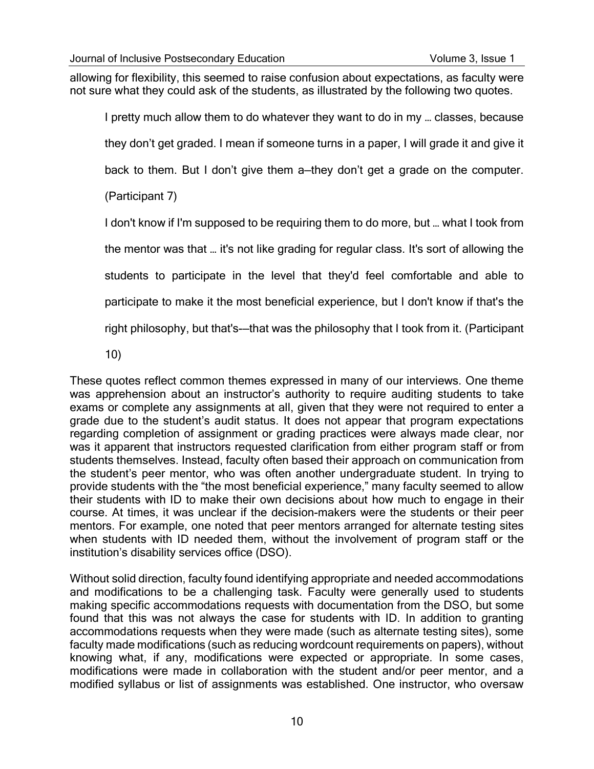allowing for flexibility, this seemed to raise confusion about expectations, as faculty were not sure what they could ask of the students, as illustrated by the following two quotes.

I pretty much allow them to do whatever they want to do in my … classes, because they don't get graded. I mean if someone turns in a paper, I will grade it and give it back to them. But I don't give them a—they don't get a grade on the computer. (Participant 7)

I don't know if I'm supposed to be requiring them to do more, but … what I took from the mentor was that … it's not like grading for regular class. It's sort of allowing the students to participate in the level that they'd feel comfortable and able to participate to make it the most beneficial experience, but I don't know if that's the right philosophy, but that's-—that was the philosophy that I took from it. (Participant

10)

These quotes reflect common themes expressed in many of our interviews. One theme was apprehension about an instructor's authority to require auditing students to take exams or complete any assignments at all, given that they were not required to enter a grade due to the student's audit status. It does not appear that program expectations regarding completion of assignment or grading practices were always made clear, nor was it apparent that instructors requested clarification from either program staff or from students themselves. Instead, faculty often based their approach on communication from the student's peer mentor, who was often another undergraduate student. In trying to provide students with the "the most beneficial experience," many faculty seemed to allow their students with ID to make their own decisions about how much to engage in their course. At times, it was unclear if the decision-makers were the students or their peer mentors. For example, one noted that peer mentors arranged for alternate testing sites when students with ID needed them, without the involvement of program staff or the institution's disability services office (DSO).

Without solid direction, faculty found identifying appropriate and needed accommodations and modifications to be a challenging task. Faculty were generally used to students making specific accommodations requests with documentation from the DSO, but some found that this was not always the case for students with ID. In addition to granting accommodations requests when they were made (such as alternate testing sites), some faculty made modifications (such as reducing wordcount requirements on papers), without knowing what, if any, modifications were expected or appropriate. In some cases, modifications were made in collaboration with the student and/or peer mentor, and a modified syllabus or list of assignments was established. One instructor, who oversaw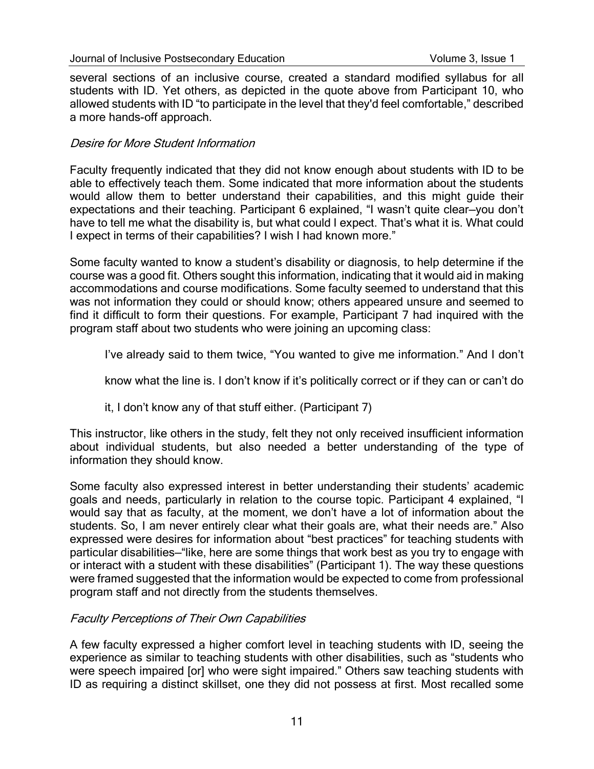several sections of an inclusive course, created a standard modified syllabus for all students with ID. Yet others, as depicted in the quote above from Participant 10, who allowed students with ID "to participate in the level that they'd feel comfortable," described a more hands-off approach.

#### Desire for More Student Information

Faculty frequently indicated that they did not know enough about students with ID to be able to effectively teach them. Some indicated that more information about the students would allow them to better understand their capabilities, and this might guide their expectations and their teaching. Participant 6 explained, "I wasn't quite clear—you don't have to tell me what the disability is, but what could I expect. That's what it is. What could I expect in terms of their capabilities? I wish I had known more."

Some faculty wanted to know a student's disability or diagnosis, to help determine if the course was a good fit. Others sought this information, indicating that it would aid in making accommodations and course modifications. Some faculty seemed to understand that this was not information they could or should know; others appeared unsure and seemed to find it difficult to form their questions. For example, Participant 7 had inquired with the program staff about two students who were joining an upcoming class:

I've already said to them twice, "You wanted to give me information." And I don't

know what the line is. I don't know if it's politically correct or if they can or can't do

it, I don't know any of that stuff either. (Participant 7)

This instructor, like others in the study, felt they not only received insufficient information about individual students, but also needed a better understanding of the type of information they should know.

Some faculty also expressed interest in better understanding their students' academic goals and needs, particularly in relation to the course topic. Participant 4 explained, "I would say that as faculty, at the moment, we don't have a lot of information about the students. So, I am never entirely clear what their goals are, what their needs are." Also expressed were desires for information about "best practices" for teaching students with particular disabilities—"like, here are some things that work best as you try to engage with or interact with a student with these disabilities" (Participant 1). The way these questions were framed suggested that the information would be expected to come from professional program staff and not directly from the students themselves.

#### Faculty Perceptions of Their Own Capabilities

A few faculty expressed a higher comfort level in teaching students with ID, seeing the experience as similar to teaching students with other disabilities, such as "students who were speech impaired [or] who were sight impaired." Others saw teaching students with ID as requiring a distinct skillset, one they did not possess at first. Most recalled some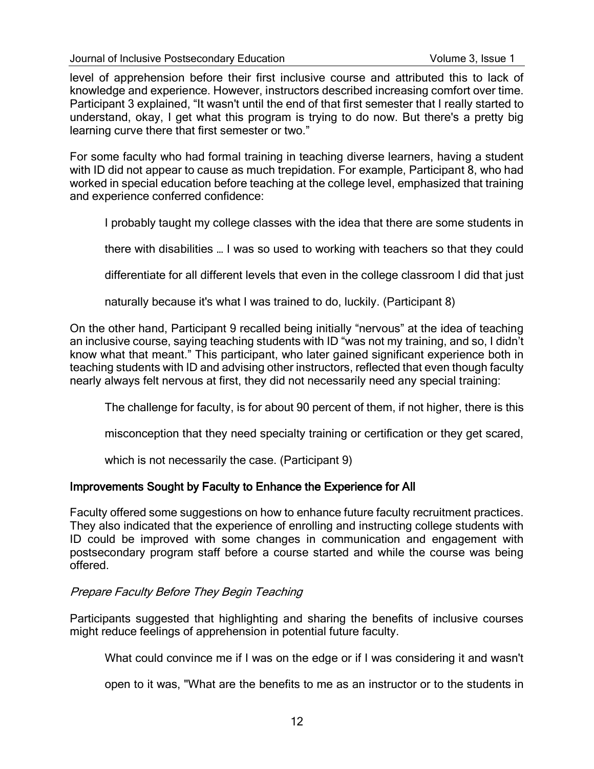level of apprehension before their first inclusive course and attributed this to lack of knowledge and experience. However, instructors described increasing comfort over time. Participant 3 explained, "It wasn't until the end of that first semester that I really started to understand, okay, I get what this program is trying to do now. But there's a pretty big learning curve there that first semester or two."

For some faculty who had formal training in teaching diverse learners, having a student with ID did not appear to cause as much trepidation. For example, Participant 8, who had worked in special education before teaching at the college level, emphasized that training and experience conferred confidence:

I probably taught my college classes with the idea that there are some students in

there with disabilities … I was so used to working with teachers so that they could

differentiate for all different levels that even in the college classroom I did that just

naturally because it's what I was trained to do, luckily. (Participant 8)

On the other hand, Participant 9 recalled being initially "nervous" at the idea of teaching an inclusive course, saying teaching students with ID "was not my training, and so, I didn't know what that meant." This participant, who later gained significant experience both in teaching students with ID and advising other instructors, reflected that even though faculty nearly always felt nervous at first, they did not necessarily need any special training:

The challenge for faculty, is for about 90 percent of them, if not higher, there is this

misconception that they need specialty training or certification or they get scared,

which is not necessarily the case. (Participant 9)

#### Improvements Sought by Faculty to Enhance the Experience for All

Faculty offered some suggestions on how to enhance future faculty recruitment practices. They also indicated that the experience of enrolling and instructing college students with ID could be improved with some changes in communication and engagement with postsecondary program staff before a course started and while the course was being offered.

#### Prepare Faculty Before They Begin Teaching

Participants suggested that highlighting and sharing the benefits of inclusive courses might reduce feelings of apprehension in potential future faculty.

What could convince me if I was on the edge or if I was considering it and wasn't

open to it was, "What are the benefits to me as an instructor or to the students in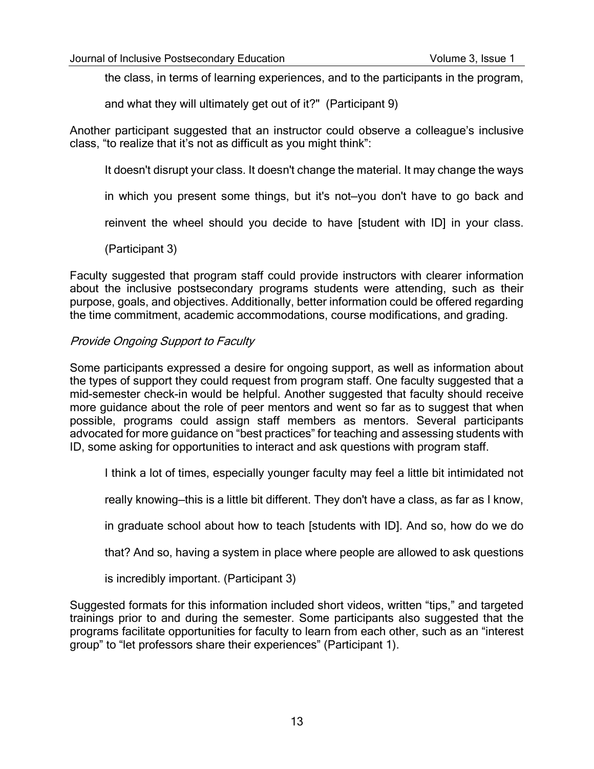the class, in terms of learning experiences, and to the participants in the program,

and what they will ultimately get out of it?" (Participant 9)

Another participant suggested that an instructor could observe a colleague's inclusive class, "to realize that it's not as difficult as you might think":

It doesn't disrupt your class. It doesn't change the material. It may change the ways

in which you present some things, but it's not—you don't have to go back and

reinvent the wheel should you decide to have [student with ID] in your class.

(Participant 3)

Faculty suggested that program staff could provide instructors with clearer information about the inclusive postsecondary programs students were attending, such as their purpose, goals, and objectives. Additionally, better information could be offered regarding the time commitment, academic accommodations, course modifications, and grading.

#### Provide Ongoing Support to Faculty

Some participants expressed a desire for ongoing support, as well as information about the types of support they could request from program staff. One faculty suggested that a mid-semester check-in would be helpful. Another suggested that faculty should receive more guidance about the role of peer mentors and went so far as to suggest that when possible, programs could assign staff members as mentors. Several participants advocated for more guidance on "best practices" for teaching and assessing students with ID, some asking for opportunities to interact and ask questions with program staff.

I think a lot of times, especially younger faculty may feel a little bit intimidated not

really knowing—this is a little bit different. They don't have a class, as far as I know,

in graduate school about how to teach [students with ID]. And so, how do we do

that? And so, having a system in place where people are allowed to ask questions

is incredibly important. (Participant 3)

Suggested formats for this information included short videos, written "tips," and targeted trainings prior to and during the semester. Some participants also suggested that the programs facilitate opportunities for faculty to learn from each other, such as an "interest group" to "let professors share their experiences" (Participant 1).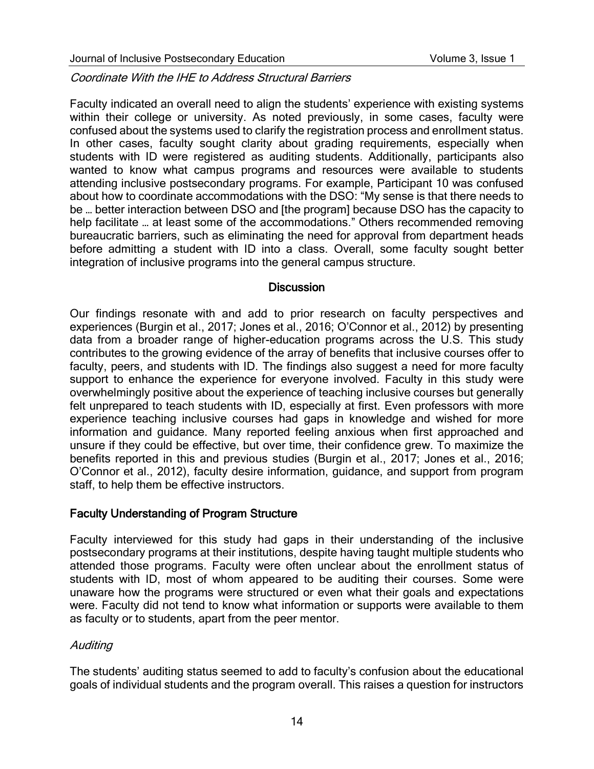Coordinate With the IHE to Address Structural Barriers

Faculty indicated an overall need to align the students' experience with existing systems within their college or university. As noted previously, in some cases, faculty were confused about the systems used to clarify the registration process and enrollment status. In other cases, faculty sought clarity about grading requirements, especially when students with ID were registered as auditing students. Additionally, participants also wanted to know what campus programs and resources were available to students attending inclusive postsecondary programs. For example, Participant 10 was confused about how to coordinate accommodations with the DSO: "My sense is that there needs to be … better interaction between DSO and [the program] because DSO has the capacity to help facilitate … at least some of the accommodations." Others recommended removing bureaucratic barriers, such as eliminating the need for approval from department heads before admitting a student with ID into a class. Overall, some faculty sought better integration of inclusive programs into the general campus structure.

#### **Discussion**

Our findings resonate with and add to prior research on faculty perspectives and experiences (Burgin et al., 2017; Jones et al., 2016; O'Connor et al., 2012) by presenting data from a broader range of higher-education programs across the U.S. This study contributes to the growing evidence of the array of benefits that inclusive courses offer to faculty, peers, and students with ID. The findings also suggest a need for more faculty support to enhance the experience for everyone involved. Faculty in this study were overwhelmingly positive about the experience of teaching inclusive courses but generally felt unprepared to teach students with ID, especially at first. Even professors with more experience teaching inclusive courses had gaps in knowledge and wished for more information and guidance. Many reported feeling anxious when first approached and unsure if they could be effective, but over time, their confidence grew. To maximize the benefits reported in this and previous studies (Burgin et al., 2017; Jones et al., 2016; O'Connor et al., 2012), faculty desire information, guidance, and support from program staff, to help them be effective instructors.

#### Faculty Understanding of Program Structure

Faculty interviewed for this study had gaps in their understanding of the inclusive postsecondary programs at their institutions, despite having taught multiple students who attended those programs. Faculty were often unclear about the enrollment status of students with ID, most of whom appeared to be auditing their courses. Some were unaware how the programs were structured or even what their goals and expectations were. Faculty did not tend to know what information or supports were available to them as faculty or to students, apart from the peer mentor.

#### **Auditing**

The students' auditing status seemed to add to faculty's confusion about the educational goals of individual students and the program overall. This raises a question for instructors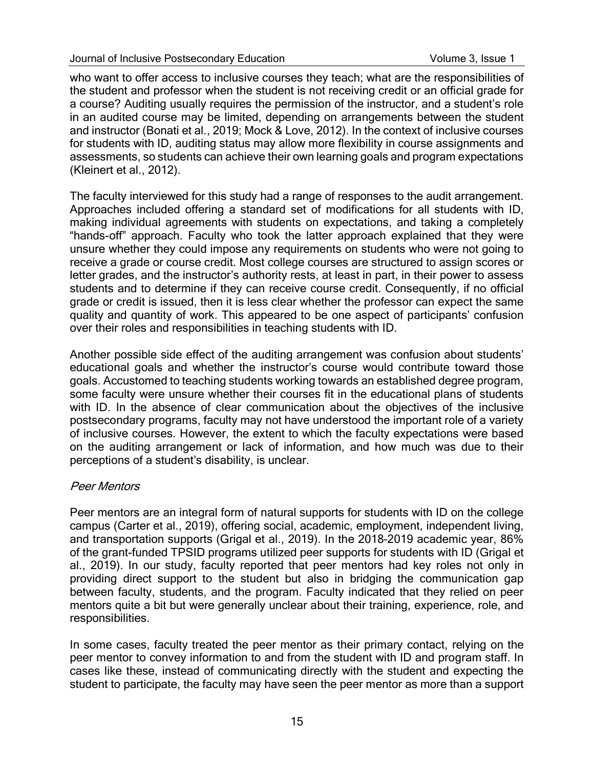who want to offer access to inclusive courses they teach; what are the responsibilities of the student and professor when the student is not receiving credit or an official grade for a course? Auditing usually requires the permission of the instructor, and a student's role in an audited course may be limited, depending on arrangements between the student and instructor (Bonati et al., 2019; Mock & Love, 2012). In the context of inclusive courses for students with ID, auditing status may allow more flexibility in course assignments and assessments, so students can achieve their own learning goals and program expectations (Kleinert et al., 2012).

The faculty interviewed for this study had a range of responses to the audit arrangement. Approaches included offering a standard set of modifications for all students with ID, making individual agreements with students on expectations, and taking a completely "hands-off" approach. Faculty who took the latter approach explained that they were unsure whether they could impose any requirements on students who were not going to receive a grade or course credit. Most college courses are structured to assign scores or letter grades, and the instructor's authority rests, at least in part, in their power to assess students and to determine if they can receive course credit. Consequently, if no official grade or credit is issued, then it is less clear whether the professor can expect the same quality and quantity of work. This appeared to be one aspect of participants' confusion over their roles and responsibilities in teaching students with ID.

Another possible side effect of the auditing arrangement was confusion about students' educational goals and whether the instructor's course would contribute toward those goals. Accustomed to teaching students working towards an established degree program, some faculty were unsure whether their courses fit in the educational plans of students with ID. In the absence of clear communication about the objectives of the inclusive postsecondary programs, faculty may not have understood the important role of a variety of inclusive courses. However, the extent to which the faculty expectations were based on the auditing arrangement or lack of information, and how much was due to their perceptions of a student's disability, is unclear.

## Peer Mentors

Peer mentors are an integral form of natural supports for students with ID on the college campus (Carter et al., 2019), offering social, academic, employment, independent living, and transportation supports (Grigal et al., 2019). In the 2018–2019 academic year, 86% of the grant-funded TPSID programs utilized peer supports for students with ID (Grigal et al., 2019). In our study, faculty reported that peer mentors had key roles not only in providing direct support to the student but also in bridging the communication gap between faculty, students, and the program. Faculty indicated that they relied on peer mentors quite a bit but were generally unclear about their training, experience, role, and responsibilities.

In some cases, faculty treated the peer mentor as their primary contact, relying on the peer mentor to convey information to and from the student with ID and program staff. In cases like these, instead of communicating directly with the student and expecting the student to participate, the faculty may have seen the peer mentor as more than a support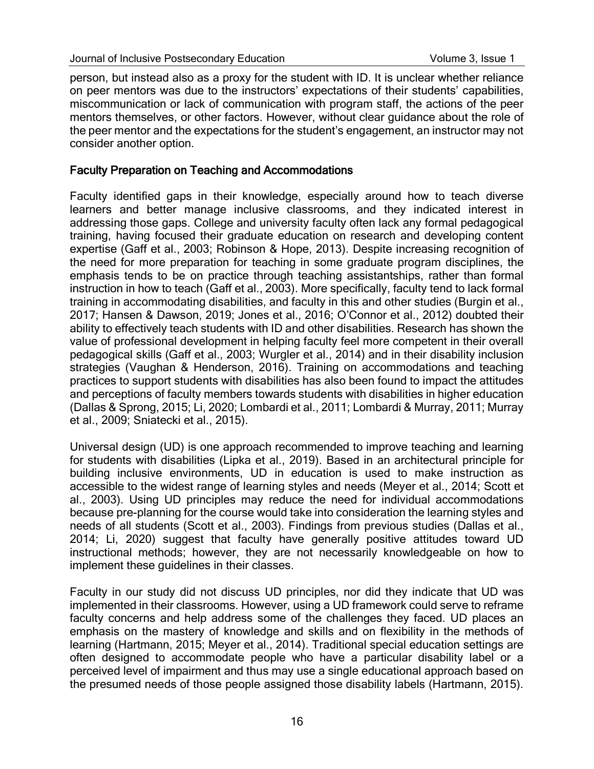person, but instead also as a proxy for the student with ID. It is unclear whether reliance on peer mentors was due to the instructors' expectations of their students' capabilities, miscommunication or lack of communication with program staff, the actions of the peer mentors themselves, or other factors. However, without clear guidance about the role of the peer mentor and the expectations for the student's engagement, an instructor may not consider another option.

#### Faculty Preparation on Teaching and Accommodations

Faculty identified gaps in their knowledge, especially around how to teach diverse learners and better manage inclusive classrooms, and they indicated interest in addressing those gaps. College and university faculty often lack any formal pedagogical training, having focused their graduate education on research and developing content expertise (Gaff et al., 2003; Robinson & Hope, 2013). Despite increasing recognition of the need for more preparation for teaching in some graduate program disciplines, the emphasis tends to be on practice through teaching assistantships, rather than formal instruction in how to teach (Gaff et al., 2003). More specifically, faculty tend to lack formal training in accommodating disabilities, and faculty in this and other studies (Burgin et al., 2017; Hansen & Dawson, 2019; Jones et al., 2016; O'Connor et al., 2012) doubted their ability to effectively teach students with ID and other disabilities. Research has shown the value of professional development in helping faculty feel more competent in their overall pedagogical skills (Gaff et al., 2003; Wurgler et al., 2014) and in their disability inclusion strategies (Vaughan & Henderson, 2016). Training on accommodations and teaching practices to support students with disabilities has also been found to impact the attitudes and perceptions of faculty members towards students with disabilities in higher education (Dallas & Sprong, 2015; Li, 2020; Lombardi et al., 2011; Lombardi & Murray, 2011; Murray et al., 2009; Sniatecki et al., 2015).

Universal design (UD) is one approach recommended to improve teaching and learning for students with disabilities (Lipka et al., 2019). Based in an architectural principle for building inclusive environments, UD in education is used to make instruction as accessible to the widest range of learning styles and needs (Meyer et al., 2014; Scott et al., 2003). Using UD principles may reduce the need for individual accommodations because pre-planning for the course would take into consideration the learning styles and needs of all students (Scott et al., 2003). Findings from previous studies (Dallas et al., 2014; Li, 2020) suggest that faculty have generally positive attitudes toward UD instructional methods; however, they are not necessarily knowledgeable on how to implement these guidelines in their classes.

Faculty in our study did not discuss UD principles, nor did they indicate that UD was implemented in their classrooms. However, using a UD framework could serve to reframe faculty concerns and help address some of the challenges they faced. UD places an emphasis on the mastery of knowledge and skills and on flexibility in the methods of learning (Hartmann, 2015; Meyer et al., 2014). Traditional special education settings are often designed to accommodate people who have a particular disability label or a perceived level of impairment and thus may use a single educational approach based on the presumed needs of those people assigned those disability labels (Hartmann, 2015).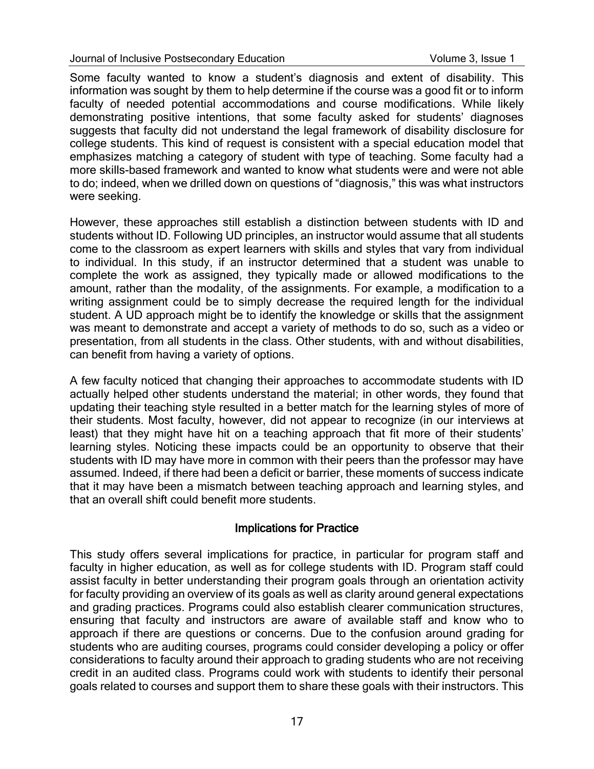#### Journal of Inclusive Postsecondary Education Volume 3, Issue 1

Some faculty wanted to know a student's diagnosis and extent of disability. This information was sought by them to help determine if the course was a good fit or to inform faculty of needed potential accommodations and course modifications. While likely demonstrating positive intentions, that some faculty asked for students' diagnoses suggests that faculty did not understand the legal framework of disability disclosure for college students. This kind of request is consistent with a special education model that emphasizes matching a category of student with type of teaching. Some faculty had a more skills-based framework and wanted to know what students were and were not able to do; indeed, when we drilled down on questions of "diagnosis," this was what instructors were seeking.

However, these approaches still establish a distinction between students with ID and students without ID. Following UD principles, an instructor would assume that all students come to the classroom as expert learners with skills and styles that vary from individual to individual. In this study, if an instructor determined that a student was unable to complete the work as assigned, they typically made or allowed modifications to the amount, rather than the modality, of the assignments. For example, a modification to a writing assignment could be to simply decrease the required length for the individual student. A UD approach might be to identify the knowledge or skills that the assignment was meant to demonstrate and accept a variety of methods to do so, such as a video or presentation, from all students in the class. Other students, with and without disabilities, can benefit from having a variety of options.

A few faculty noticed that changing their approaches to accommodate students with ID actually helped other students understand the material; in other words, they found that updating their teaching style resulted in a better match for the learning styles of more of their students. Most faculty, however, did not appear to recognize (in our interviews at least) that they might have hit on a teaching approach that fit more of their students' learning styles. Noticing these impacts could be an opportunity to observe that their students with ID may have more in common with their peers than the professor may have assumed. Indeed, if there had been a deficit or barrier, these moments of success indicate that it may have been a mismatch between teaching approach and learning styles, and that an overall shift could benefit more students.

#### Implications for Practice

This study offers several implications for practice, in particular for program staff and faculty in higher education, as well as for college students with ID. Program staff could assist faculty in better understanding their program goals through an orientation activity for faculty providing an overview of its goals as well as clarity around general expectations and grading practices. Programs could also establish clearer communication structures, ensuring that faculty and instructors are aware of available staff and know who to approach if there are questions or concerns. Due to the confusion around grading for students who are auditing courses, programs could consider developing a policy or offer considerations to faculty around their approach to grading students who are not receiving credit in an audited class. Programs could work with students to identify their personal goals related to courses and support them to share these goals with their instructors. This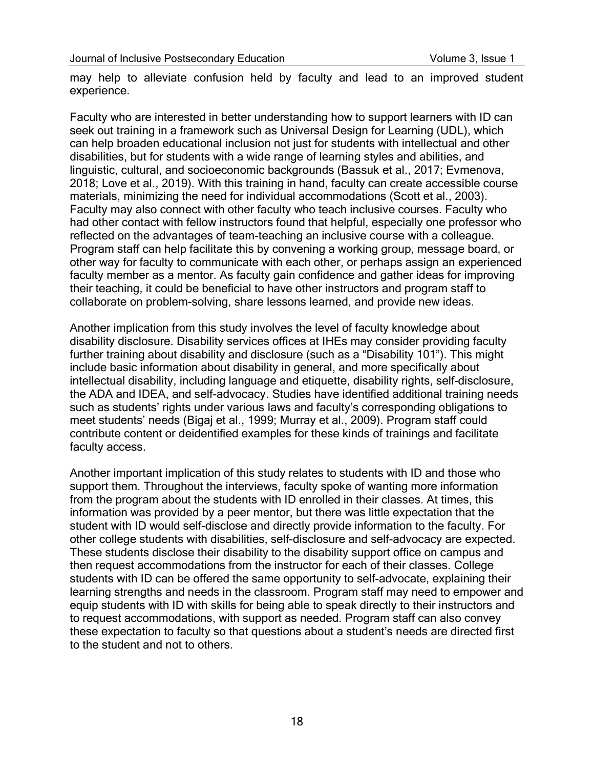may help to alleviate confusion held by faculty and lead to an improved student experience.

Faculty who are interested in better understanding how to support learners with ID can seek out training in a framework such as Universal Design for Learning (UDL), which can help broaden educational inclusion not just for students with intellectual and other disabilities, but for students with a wide range of learning styles and abilities, and linguistic, cultural, and socioeconomic backgrounds (Bassuk et al., 2017; Evmenova, 2018; Love et al., 2019). With this training in hand, faculty can create accessible course materials, minimizing the need for individual accommodations (Scott et al., 2003). Faculty may also connect with other faculty who teach inclusive courses. Faculty who had other contact with fellow instructors found that helpful, especially one professor who reflected on the advantages of team-teaching an inclusive course with a colleague. Program staff can help facilitate this by convening a working group, message board, or other way for faculty to communicate with each other, or perhaps assign an experienced faculty member as a mentor. As faculty gain confidence and gather ideas for improving their teaching, it could be beneficial to have other instructors and program staff to collaborate on problem-solving, share lessons learned, and provide new ideas.

Another implication from this study involves the level of faculty knowledge about disability disclosure. Disability services offices at IHEs may consider providing faculty further training about disability and disclosure (such as a "Disability 101"). This might include basic information about disability in general, and more specifically about intellectual disability, including language and etiquette, disability rights, self-disclosure, the ADA and IDEA, and self-advocacy. Studies have identified additional training needs such as students' rights under various laws and faculty's corresponding obligations to meet students' needs (Bigaj et al., 1999; Murray et al., 2009). Program staff could contribute content or deidentified examples for these kinds of trainings and facilitate faculty access.

Another important implication of this study relates to students with ID and those who support them. Throughout the interviews, faculty spoke of wanting more information from the program about the students with ID enrolled in their classes. At times, this information was provided by a peer mentor, but there was little expectation that the student with ID would self-disclose and directly provide information to the faculty. For other college students with disabilities, self-disclosure and self-advocacy are expected. These students disclose their disability to the disability support office on campus and then request accommodations from the instructor for each of their classes. College students with ID can be offered the same opportunity to self-advocate, explaining their learning strengths and needs in the classroom. Program staff may need to empower and equip students with ID with skills for being able to speak directly to their instructors and to request accommodations, with support as needed. Program staff can also convey these expectation to faculty so that questions about a student's needs are directed first to the student and not to others.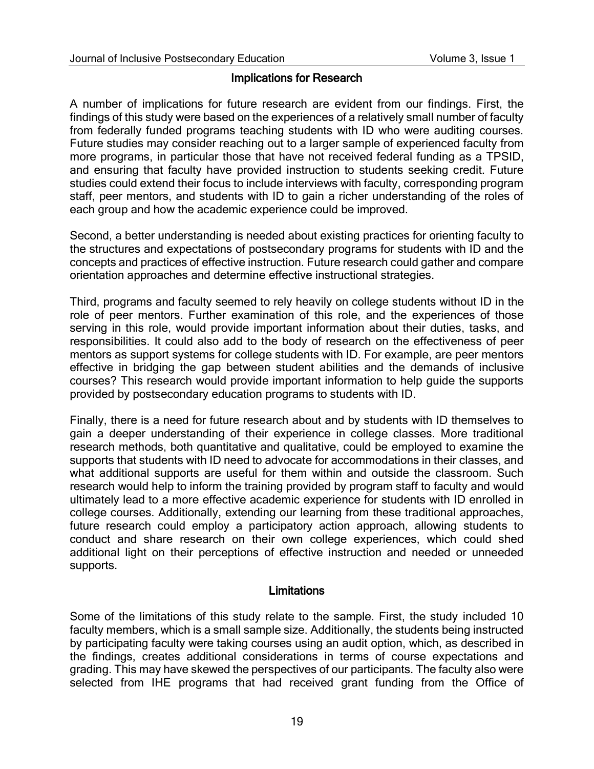#### Implications for Research

A number of implications for future research are evident from our findings. First, the findings of this study were based on the experiences of a relatively small number of faculty from federally funded programs teaching students with ID who were auditing courses. Future studies may consider reaching out to a larger sample of experienced faculty from more programs, in particular those that have not received federal funding as a TPSID, and ensuring that faculty have provided instruction to students seeking credit. Future studies could extend their focus to include interviews with faculty, corresponding program staff, peer mentors, and students with ID to gain a richer understanding of the roles of each group and how the academic experience could be improved.

Second, a better understanding is needed about existing practices for orienting faculty to the structures and expectations of postsecondary programs for students with ID and the concepts and practices of effective instruction. Future research could gather and compare orientation approaches and determine effective instructional strategies.

Third, programs and faculty seemed to rely heavily on college students without ID in the role of peer mentors. Further examination of this role, and the experiences of those serving in this role, would provide important information about their duties, tasks, and responsibilities. It could also add to the body of research on the effectiveness of peer mentors as support systems for college students with ID. For example, are peer mentors effective in bridging the gap between student abilities and the demands of inclusive courses? This research would provide important information to help guide the supports provided by postsecondary education programs to students with ID.

Finally, there is a need for future research about and by students with ID themselves to gain a deeper understanding of their experience in college classes. More traditional research methods, both quantitative and qualitative, could be employed to examine the supports that students with ID need to advocate for accommodations in their classes, and what additional supports are useful for them within and outside the classroom. Such research would help to inform the training provided by program staff to faculty and would ultimately lead to a more effective academic experience for students with ID enrolled in college courses. Additionally, extending our learning from these traditional approaches, future research could employ a participatory action approach, allowing students to conduct and share research on their own college experiences, which could shed additional light on their perceptions of effective instruction and needed or unneeded supports.

#### **Limitations**

Some of the limitations of this study relate to the sample. First, the study included 10 faculty members, which is a small sample size. Additionally, the students being instructed by participating faculty were taking courses using an audit option, which, as described in the findings, creates additional considerations in terms of course expectations and grading. This may have skewed the perspectives of our participants. The faculty also were selected from IHE programs that had received grant funding from the Office of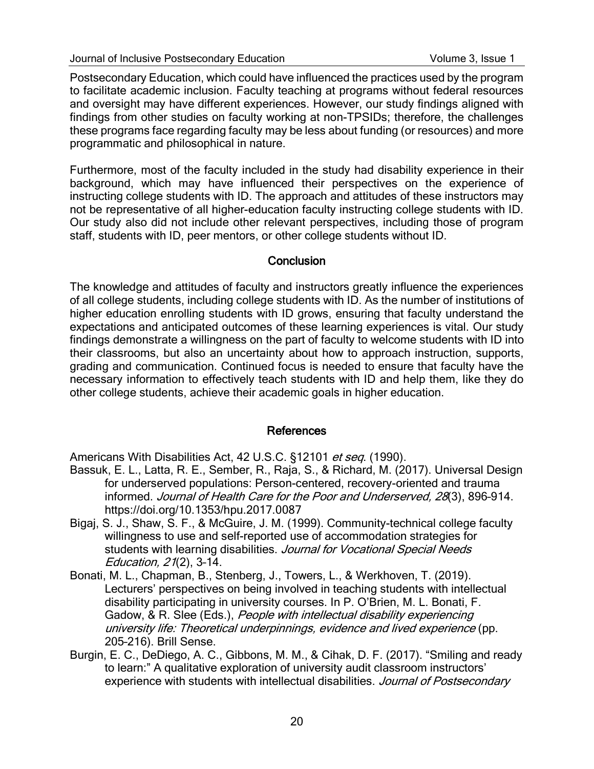Postsecondary Education, which could have influenced the practices used by the program to facilitate academic inclusion. Faculty teaching at programs without federal resources and oversight may have different experiences. However, our study findings aligned with findings from other studies on faculty working at non-TPSIDs; therefore, the challenges these programs face regarding faculty may be less about funding (or resources) and more programmatic and philosophical in nature.

Furthermore, most of the faculty included in the study had disability experience in their background, which may have influenced their perspectives on the experience of instructing college students with ID. The approach and attitudes of these instructors may not be representative of all higher-education faculty instructing college students with ID. Our study also did not include other relevant perspectives, including those of program staff, students with ID, peer mentors, or other college students without ID.

### **Conclusion**

The knowledge and attitudes of faculty and instructors greatly influence the experiences of all college students, including college students with ID. As the number of institutions of higher education enrolling students with ID grows, ensuring that faculty understand the expectations and anticipated outcomes of these learning experiences is vital. Our study findings demonstrate a willingness on the part of faculty to welcome students with ID into their classrooms, but also an uncertainty about how to approach instruction, supports, grading and communication. Continued focus is needed to ensure that faculty have the necessary information to effectively teach students with ID and help them, like they do other college students, achieve their academic goals in higher education.

#### References

Americans With Disabilities Act, 42 U.S.C. §12101 et seq. (1990).

- Bassuk, E. L., Latta, R. E., Sember, R., Raja, S., & Richard, M. (2017). Universal Design for underserved populations: Person-centered, recovery-oriented and trauma informed. Journal of Health Care for the Poor and Underserved, 28(3), 896–914. https://doi.org/10.1353/hpu.2017.0087
- Bigaj, S. J., Shaw, S. F., & McGuire, J. M. (1999). Community-technical college faculty willingness to use and self-reported use of accommodation strategies for students with learning disabilities. Journal for Vocational Special Needs Education, 21(2), 3–14.
- Bonati, M. L., Chapman, B., Stenberg, J., Towers, L., & Werkhoven, T. (2019). Lecturers' perspectives on being involved in teaching students with intellectual disability participating in university courses. In P. O'Brien, M. L. Bonati, F. Gadow, & R. Slee (Eds.), People with intellectual disability experiencing university life: Theoretical underpinnings, evidence and lived experience (pp. 205–216). Brill Sense.
- Burgin, E. C., DeDiego, A. C., Gibbons, M. M., & Cihak, D. F. (2017). "Smiling and ready to learn:" A qualitative exploration of university audit classroom instructors' experience with students with intellectual disabilities. Journal of Postsecondary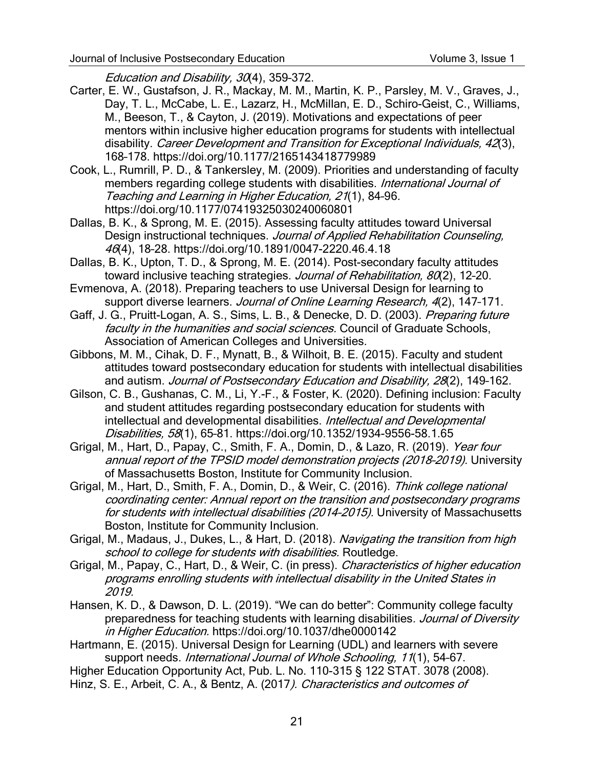Education and Disability, 30(4), 359-372.

- Carter, E. W., Gustafson, J. R., Mackay, M. M., Martin, K. P., Parsley, M. V., Graves, J., Day, T. L., McCabe, L. E., Lazarz, H., McMillan, E. D., Schiro-Geist, C., Williams, M., Beeson, T., & Cayton, J. (2019). Motivations and expectations of peer mentors within inclusive higher education programs for students with intellectual disability. Career Development and Transition for Exceptional Individuals, 42(3), 168–178. https://doi.org/10.1177/2165143418779989
- Cook, L., Rumrill, P. D., & Tankersley, M. (2009). Priorities and understanding of faculty members regarding college students with disabilities. International Journal of Teaching and Learning in Higher Education, 21(1), 84–96. https://doi.org/10.1177/07419325030240060801
- Dallas, B. K., & Sprong, M. E. (2015). Assessing faculty attitudes toward Universal Design instructional techniques. Journal of Applied Rehabilitation Counseling, 46(4), 18–28. https://doi.org/10.1891/0047-2220.46.4.18
- Dallas, B. K., Upton, T. D., & Sprong, M. E. (2014). Post-secondary faculty attitudes toward inclusive teaching strategies. Journal of Rehabilitation, 80(2), 12-20.
- Evmenova, A. (2018). Preparing teachers to use Universal Design for learning to support diverse learners. Journal of Online Learning Research, 4(2), 147-171.
- Gaff, J. G., Pruitt-Logan, A. S., Sims, L. B., & Denecke, D. D. (2003). Preparing future faculty in the humanities and social sciences. Council of Graduate Schools, Association of American Colleges and Universities.
- Gibbons, M. M., Cihak, D. F., Mynatt, B., & Wilhoit, B. E. (2015). Faculty and student attitudes toward postsecondary education for students with intellectual disabilities and autism. Journal of Postsecondary Education and Disability, 28(2), 149-162.
- Gilson, C. B., Gushanas, C. M., Li, Y.-F., & Foster, K. (2020). Defining inclusion: Faculty and student attitudes regarding postsecondary education for students with intellectual and developmental disabilities. *Intellectual and Developmental* Disabilities, 58(1), 65–81. https://doi.org/10.1352/1934-9556-58.1.65
- Grigal, M., Hart, D., Papay, C., Smith, F. A., Domin, D., & Lazo, R. (2019). Year four annual report of the TPSID model demonstration projects (2018–2019). University of Massachusetts Boston, Institute for Community Inclusion.
- Grigal, M., Hart, D., Smith, F. A., Domin, D., & Weir, C. (2016). Think college national coordinating center: Annual report on the transition and postsecondary programs for students with intellectual disabilities (2014–2015). University of Massachusetts Boston, Institute for Community Inclusion.
- Grigal, M., Madaus, J., Dukes, L., & Hart, D. (2018). Navigating the transition from high school to college for students with disabilities. Routledge.
- Grigal, M., Papay, C., Hart, D., & Weir, C. (in press). Characteristics of higher education programs enrolling students with intellectual disability in the United States in 2019.
- Hansen, K. D., & Dawson, D. L. (2019). "We can do better": Community college faculty preparedness for teaching students with learning disabilities. Journal of Diversity in Higher Education. https://doi.org/10.1037/dhe0000142
- Hartmann, E. (2015). Universal Design for Learning (UDL) and learners with severe support needs. International Journal of Whole Schooling, 11(1), 54-67.
- Higher Education Opportunity Act, Pub. L. No. 110-315 § 122 STAT. 3078 (2008).
- Hinz, S. E., Arbeit, C. A., & Bentz, A. (2017). Characteristics and outcomes of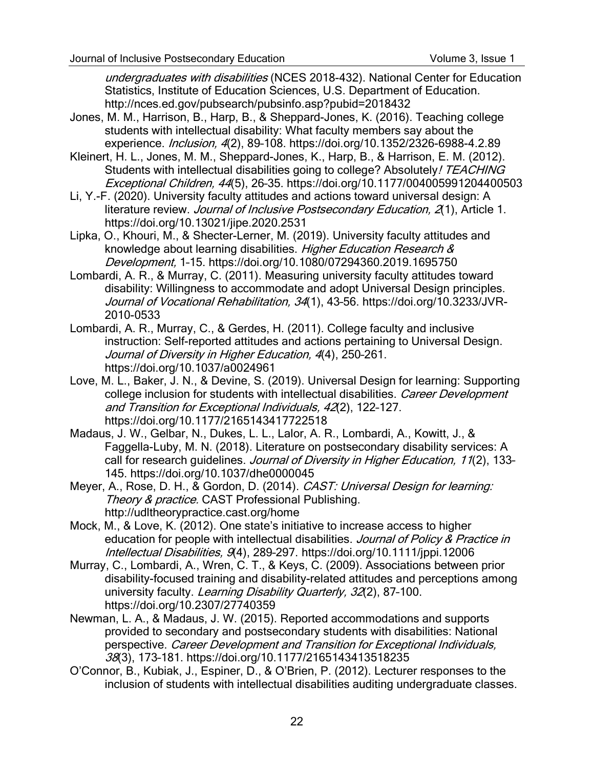undergraduates with disabilities (NCES 2018-432). National Center for Education Statistics, Institute of Education Sciences, U.S. Department of Education. http://nces.ed.gov/pubsearch/pubsinfo.asp?pubid=2018432

- Jones, M. M., Harrison, B., Harp, B., & Sheppard-Jones, K. (2016). Teaching college students with intellectual disability: What faculty members say about the experience. *Inclusion, 4*(2), 89-108. https://doi.org/10.1352/2326-6988-4.2.89
- Kleinert, H. L., Jones, M. M., Sheppard-Jones, K., Harp, B., & Harrison, E. M. (2012). Students with intellectual disabilities going to college? Absolutely! TEACHING Exceptional Children, 44(5), 26–35. https://doi.org/10.1177/004005991204400503
- Li, Y.-F. (2020). University faculty attitudes and actions toward universal design: A literature review. Journal of Inclusive Postsecondary Education, 2(1), Article 1. https://doi.org/10.13021/jipe.2020.2531
- Lipka, O., Khouri, M., & Shecter-Lerner, M. (2019). University faculty attitudes and knowledge about learning disabilities. Higher Education Research & Development, 1–15. https://doi.org/10.1080/07294360.2019.1695750
- Lombardi, A. R., & Murray, C. (2011). Measuring university faculty attitudes toward disability: Willingness to accommodate and adopt Universal Design principles. Journal of Vocational Rehabilitation, 34(1), 43-56. https://doi.org/10.3233/JVR-2010-0533
- Lombardi, A. R., Murray, C., & Gerdes, H. (2011). College faculty and inclusive instruction: Self-reported attitudes and actions pertaining to Universal Design. Journal of Diversity in Higher Education, 4(4), 250–261. https://doi.org/10.1037/a0024961
- Love, M. L., Baker, J. N., & Devine, S. (2019). Universal Design for learning: Supporting college inclusion for students with intellectual disabilities. Career Development and Transition for Exceptional Individuals, 42(2), 122–127. https://doi.org/10.1177/2165143417722518
- Madaus, J. W., Gelbar, N., Dukes, L. L., Lalor, A. R., Lombardi, A., Kowitt, J., & Faggella-Luby, M. N. (2018). Literature on postsecondary disability services: A call for research quidelines. Journal of Diversity in Higher Education, 11(2), 133-145. https://doi.org/10.1037/dhe0000045
- Meyer, A., Rose, D. H., & Gordon, D. (2014). CAST: Universal Design for learning: Theory & practice. CAST Professional Publishing. http://udltheorypractice.cast.org/home
- Mock, M., & Love, K. (2012). One state's initiative to increase access to higher education for people with intellectual disabilities. Journal of Policy & Practice in Intellectual Disabilities, 9(4), 289–297. https://doi.org/10.1111/jppi.12006
- Murray, C., Lombardi, A., Wren, C. T., & Keys, C. (2009). Associations between prior disability-focused training and disability-related attitudes and perceptions among university faculty. Learning Disability Quarterly, 32(2), 87-100. https://doi.org/10.2307/27740359
- Newman, L. A., & Madaus, J. W. (2015). Reported accommodations and supports provided to secondary and postsecondary students with disabilities: National perspective. Career Development and Transition for Exceptional Individuals, 38(3), 173–181. https://doi.org/10.1177/2165143413518235
- O'Connor, B., Kubiak, J., Espiner, D., & O'Brien, P. (2012). Lecturer responses to the inclusion of students with intellectual disabilities auditing undergraduate classes.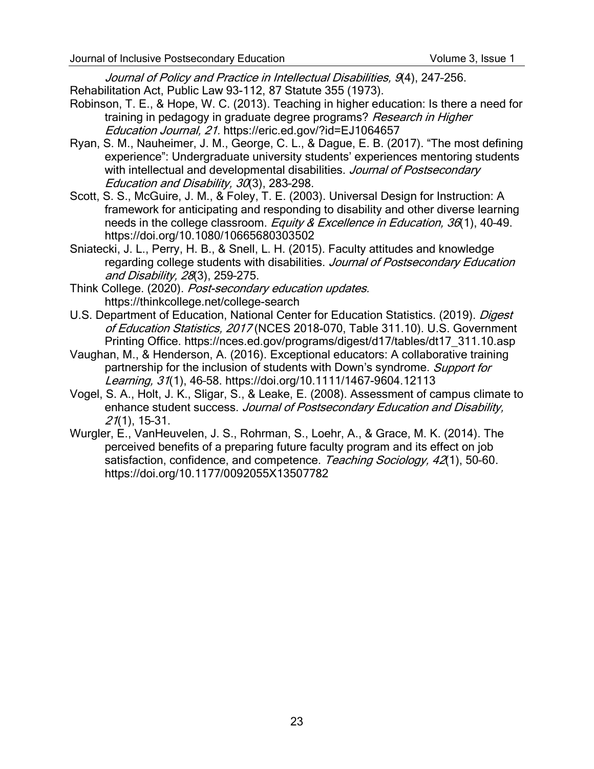Journal of Policy and Practice in Intellectual Disabilities, 9(4), 247-256. Rehabilitation Act, Public Law 93-112, 87 Statute 355 (1973).

- Robinson, T. E., & Hope, W. C. (2013). Teaching in higher education: Is there a need for training in pedagogy in graduate degree programs? Research in Higher Education Journal, 21. https://eric.ed.gov/?id=EJ1064657
- Ryan, S. M., Nauheimer, J. M., George, C. L., & Dague, E. B. (2017). "The most defining experience": Undergraduate university students' experiences mentoring students with intellectual and developmental disabilities. Journal of Postsecondary Education and Disability, 30(3), 283-298.
- Scott, S. S., McGuire, J. M., & Foley, T. E. (2003). Universal Design for Instruction: A framework for anticipating and responding to disability and other diverse learning needs in the college classroom. Equity & Excellence in Education, 36(1), 40-49. https://doi.org/10.1080/10665680303502
- Sniatecki, J. L., Perry, H. B., & Snell, L. H. (2015). Faculty attitudes and knowledge regarding college students with disabilities. Journal of Postsecondary Education and Disability, 28(3), 259–275.
- Think College. (2020). Post-secondary education updates. https://thinkcollege.net/college-search
- U.S. Department of Education, National Center for Education Statistics. (2019). Digest of Education Statistics, 2017 (NCES 2018-070, Table 311.10). U.S. Government Printing Office. https://nces.ed.gov/programs/digest/d17/tables/dt17\_311.10.asp
- Vaughan, M., & Henderson, A. (2016). Exceptional educators: A collaborative training partnership for the inclusion of students with Down's syndrome. Support for Learning, 31(1), 46–58. https://doi.org/10.1111/1467-9604.12113
- Vogel, S. A., Holt, J. K., Sligar, S., & Leake, E. (2008). Assessment of campus climate to enhance student success. Journal of Postsecondary Education and Disability, *21*(1), 15-31.
- Wurgler, E., VanHeuvelen, J. S., Rohrman, S., Loehr, A., & Grace, M. K. (2014). The perceived benefits of a preparing future faculty program and its effect on job satisfaction, confidence, and competence. Teaching Sociology, 42(1), 50-60. https://doi.org/10.1177/0092055X13507782